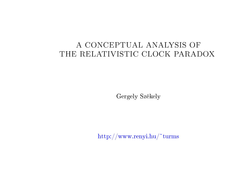# A CONCEPTUAL ANALYSIS OF<br>PELATIVISTIC CLOCK BABAL THE RELATIVISTIC CLOCK PARADOX

Gergely Székely

http://www.renyi.hu/~turms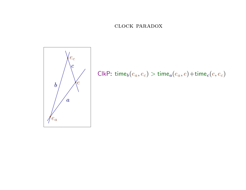#### CLOCK PARADOX



ClkP:  $time_b(e_a, e_c) > time_a(e_a, e) + time_c(e, e_c)$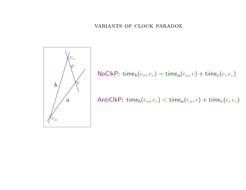

NoClkP: time $_b(e_a, e_c) = \text{time}_a(e_a, e) + \text{time}_c(e, e_c)$ 

AntiClkP: time $_b(e_a,e_c) < \text{time}_a(e_a,e) + \text{time}_c(e,e_c)$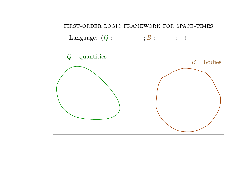### FIRST-ORDER LOGIC FRAMEWORK FOR SPACE-TIMES

Language:  $\langle Q: ; S: \rangle$ 

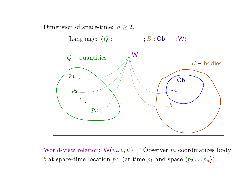

World-view relation:  $W(m, b, \vec{p})$  – "Observer m coordinatizes body b at space-time location  $\vec{p}$ " (at time  $p_1$  and space  $\langle p_2 \dots p_d \rangle$ )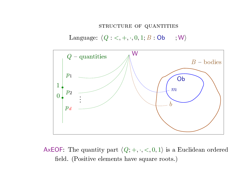# STRUCTURE OF QUANTITIES

 $\text{Language: } \langle Q: \, <, +, \cdot, 0, 1; B: \textsf{Ob} \quad , \, \forall \mathsf{W} \rangle$ 



AxEOF: The quantity part  $\langle Q; +, \cdot, <, 0, 1 \rangle$  is a Euclidean ordered  $\rm field.$   $(Positive\,\,elements\,\,have\,\,square\,\,roots.)$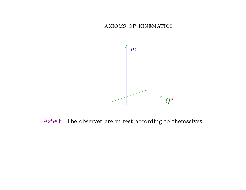AXIOMS OF KINEMATICS



AxSelf: The observer are in rest according to themselves.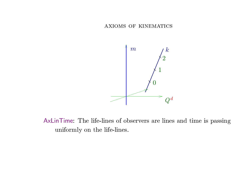AXIOMS OF KINEMATICS



AxLinTime: The life-lines of observers are lines and time is passing uniformly on the life-lines.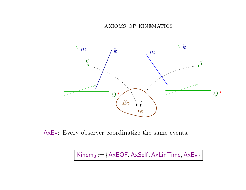axioms of kinemati
s



AxEv: Every observer coordinatize the same events.

 $\mathsf{Kinem}_0 := \{\mathsf{AxEOF}, \mathsf{AxSelf}, \mathsf{AxLinTime}, \mathsf{AxEv}\}$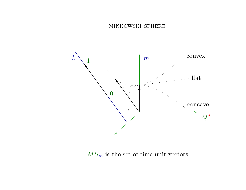#### MINKOWSKI SPHERE



 $MS_m$  is the set of time-unit vectors.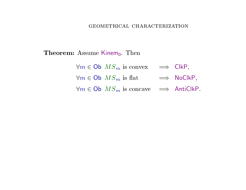### GEOMETRICAL CHARACTERIZATION

 $\bf Theorem:$  Assume Kinem $_0$ . Then

| $\forall m \in \text{Ob } MS_m$ is convex $\implies$ ClkP,      |                    |
|-----------------------------------------------------------------|--------------------|
| $\forall m \in \text{Ob } MS_m$ is flat                         | $\implies$ NoClkP, |
| $\forall m \in \text{Ob } MS_m$ is concave $\implies$ AntiClkP. |                    |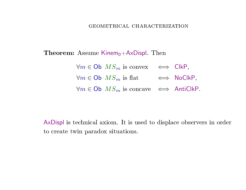### GEOMETRICAL CHARACTERIZATION

 $\bf Theorem:$  Assume  $\sf Kinem_0+AxDispl.$   $\rm Then$ 

 $\forall m \in \textsf{Ob} \; MS_m \; \text{is convex} \quad \Longleftrightarrow \; \textsf{ClkP},$  $\forall m \in \textsf{Ob} \; MS_m \text{ is flat} \quad \iff \textsf{NoClkP},$  $\forall m \in \mathsf{Ob}\;\; MS_m\; \text{is concave} \;\;\Longleftrightarrow \;\; \mathsf{AntiClkP}.$ 

AxDispl is technical axiom. It is used to displace observers in order to create twin paradox situations.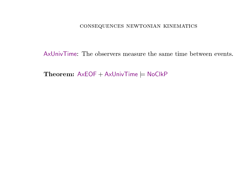### $\mathop{\mathrm{CONSEQUENCES}}$  NEWTONIAN KINEMATICS

AxUnivTime: The observers measure the same time between events.

Theorem:  $AxEOF + AxUnivTime \models NoClkP$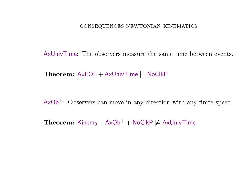# CONSEQUENCES NEWTONIAN KINEMATICS

AxUnivTime: The observers measure the same time between events.

 $\bf Theorem: AxEOF + AxUnivTime \models NoClkP$ 

 $AxOb<sup>+</sup>$ : Observers can move in any direction with any finite speed.

 $\bf Theorem\colon$  Kinem $_0 + A \times Ob^+ + NoClkP \not\models AxUnivTime$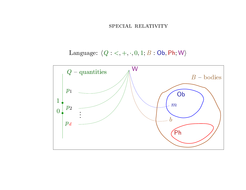#### SPECIAL RELATIVITY

Language:  $\langle Q: \leftarrow, +, \cdot, 0, 1; B:$  Ob, Ph; W)

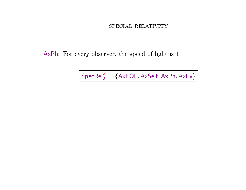#### SPECIAL RELATIVITY

AxPh: For every observer, the speed of light is 1.

 $\Big|\,\mathsf{SpecRel}_0^{\mathcal{d}}\!:=\!\{\mathsf{AxEOF},\mathsf{AxSelf},\mathsf{AxPh},\mathsf{AxEv}\}\,\Big|$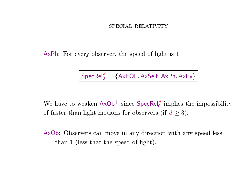## SPECIAL RELATIVITY

AxPh: For every observer, the speed of light is 1.

 $\mathsf{SpecRel}_0^d := \{\mathsf{AxEOF}, \mathsf{AxSelf}, \mathsf{AxPh}, \mathsf{AxEv}\}$ 

We have to weaken  $AxOb^+$  since  $\textsf{SpecRel}_0^d$  implies the impossibility of faster than light motions for observers (if  $d \geq 3$ ).

AxOb: Observers can move in any direction with any speed less than <sup>1</sup> (less that the speed of light).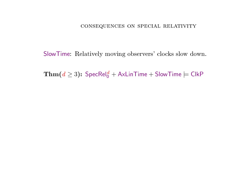SlowTime: Relatively moving observers' clocks slow down.

**Thm**( $d \ge 3$ ):  $\text{SpecRel}_0^d + \text{AxLinTime} + \text{SlowTime} \models \text{ClkP}$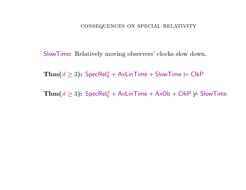SlowTime: Relatively moving observers' clocks slow down.

**Thm**( $d \ge 3$ ): SpecRel<sup>d</sup><sub>0</sub> + AxLinTime + SlowTime  $\models$  ClkP

**Thm**( $d \ge 3$ ): SpecRel<sup>d</sup><sub>0</sub> + AxLinTime + AxOb + ClkP  $\not\models$  SlowTime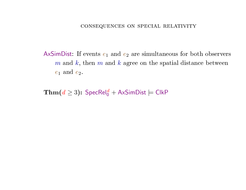AxSimDist: If events  $e_1$  and  $e_2$  are simultaneous for both observers  $m$  and  $k$ , then  $m$  and  $k$  agree on the spatial distance between  $e_1$  and  $e_2$ .

**Thm**( $d \ge 3$ ): SpecRel<sub>0</sub><sup> $d$ </sup> + AxSimDist  $\models$  ClkP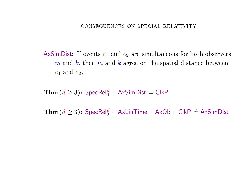AxSimDist: If events  $e_1$  and  $e_2$  are simultaneous for both observers  $m$  and  $k$ , then  $m$  and  $k$  agree on the spatial distance between  $e_1$  and  $e_2$ .

**Thm**( $d \ge 3$ ): SpecRel<sub>0</sub><sup> $d$ </sup> + AxSimDist  $\models$  ClkP

**Thm**( $d \ge 3$ ): SpecRel<sup>d</sup><sub>0</sub> + AxLinTime + AxOb + ClkP  $\not\models$  AxSimDist